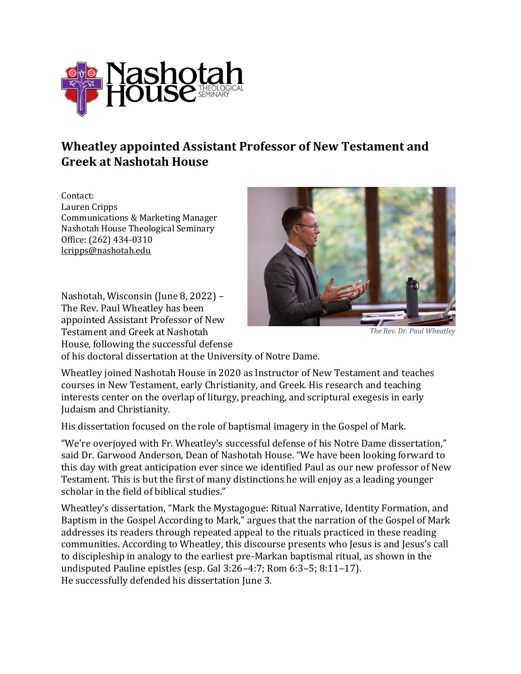

## **Wheatley appointed Assistant Professor of New Testament and Greek at Nashotah House**

Contact: Lauren Cripps Communications & Marketing Manager Nashotah House Theological Seminary Office: (262) 434-0310 [lcripps@nashotah.edu](mailto:lswan@nashotah.edu)

Nashotah, Wisconsin (June 8, 2022) – The Rev. Paul Wheatley has been appointed Assistant Professor of New Testament and Greek at Nashotah House, following the successful defense



*The Rev. Dr. Paul Wheatley*

of his doctoral dissertation at the University of Notre Dame.

Wheatley joined Nashotah House in 2020 as Instructor of New Testament and teaches courses in New Testament, early Christianity, and Greek. His research and teaching interests center on the overlap of liturgy, preaching, and scriptural exegesis in early Judaism and Christianity.

His dissertation focused on the role of baptismal imagery in the Gospel of Mark.

"We're overjoyed with Fr. Wheatley's successful defense of his Notre Dame dissertation," said Dr. Garwood Anderson, Dean of Nashotah House. "We have been looking forward to this day with great anticipation ever since we identified Paul as our new professor of New Testament. This is but the first of many distinctions he will enjoy as a leading younger scholar in the field of biblical studies."

Wheatley's dissertation, "Mark the Mystagogue: Ritual Narrative, Identity Formation, and Baptism in the Gospel According to Mark," argues that the narration of the Gospel of Mark addresses its readers through repeated appeal to the rituals practiced in these reading communities. According to Wheatley, this discourse presents who Jesus is and Jesus's call to discipleship in analogy to the earliest pre-Markan baptismal ritual, as shown in the undisputed Pauline epistles (esp. Gal 3:26–4:7; Rom 6:3–5; 8:11–17). He successfully defended his dissertation June 3.